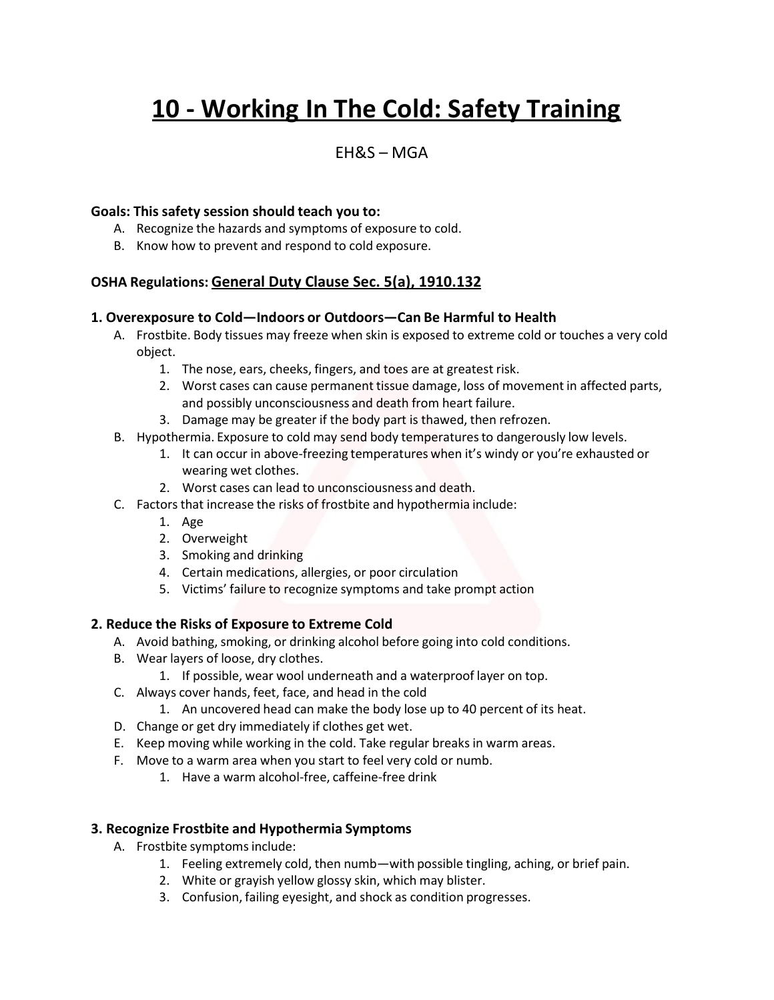# **10 - Working In The Cold: Safety Training**

### $FHRS - MGA$

#### **Goals: This safety session should teach you to:**

- A. Recognize the hazards and symptoms of exposure to cold.
- B. Know how to prevent and respond to cold exposure.

#### **OSHA Regulations: General Duty Clause Sec. 5(a), 1910.132**

#### **1. Overexposure to Cold—Indoors or Outdoors—Can Be Harmful to Health**

- A. Frostbite. Body tissues may freeze when skin is exposed to extreme cold or touches a very cold object.
	- 1. The nose, ears, cheeks, fingers, and toes are at greatest risk.
	- 2. Worst cases can cause permanent tissue damage, loss of movement in affected parts, and possibly unconsciousness and death from heart failure.
	- 3. Damage may be greater if the body part is thawed, then refrozen.
- B. Hypothermia. Exposure to cold may send body temperaturesto dangerously low levels.
	- 1. It can occur in above-freezing temperatures when it's windy or you're exhausted or wearing wet clothes.
	- 2. Worst cases can lead to unconsciousness and death.
- C. Factors that increase the risks of frostbite and hypothermia include:
	- 1. Age
	- 2. Overweight
	- 3. Smoking and drinking
	- 4. Certain medications, allergies, or poor circulation
	- 5. Victims' failure to recognize symptoms and take prompt action

#### **2. Reduce the Risks of Exposure to Extreme Cold**

- A. Avoid bathing, smoking, or drinking alcohol before going into cold conditions.
- B. Wear layers of loose, dry clothes.
	- 1. If possible, wear wool underneath and a waterproof layer on top.
- C. Always cover hands, feet, face, and head in the cold
	- 1. An uncovered head can make the body lose up to 40 percent of its heat.
- D. Change or get dry immediately if clothes get wet.
- E. Keep moving while working in the cold. Take regular breaks in warm areas.
- F. Move to a warm area when you start to feel very cold or numb.
	- 1. Have a warm alcohol-free, caffeine-free drink

#### **3. Recognize Frostbite and Hypothermia Symptoms**

- A. Frostbite symptoms include:
	- 1. Feeling extremely cold, then numb—with possible tingling, aching, or brief pain.
	- 2. White or grayish yellow glossy skin, which may blister.
	- 3. Confusion, failing eyesight, and shock as condition progresses.